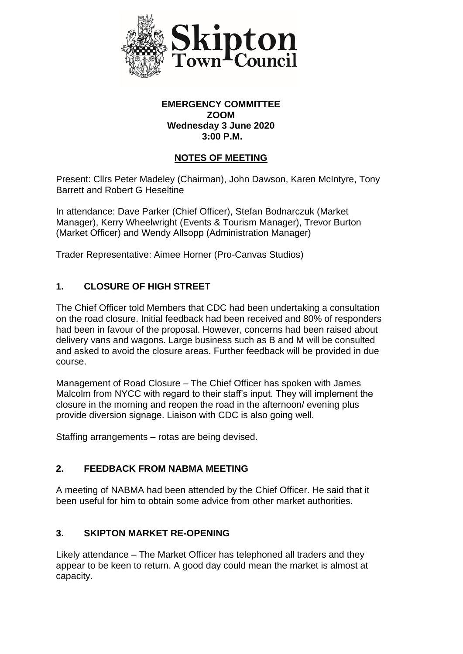

#### **EMERGENCY COMMITTEE ZOOM Wednesday 3 June 2020 3:00 P.M.**

## **NOTES OF MEETING**

Present: Cllrs Peter Madeley (Chairman), John Dawson, Karen McIntyre, Tony Barrett and Robert G Heseltine

In attendance: Dave Parker (Chief Officer), Stefan Bodnarczuk (Market Manager), Kerry Wheelwright (Events & Tourism Manager), Trevor Burton (Market Officer) and Wendy Allsopp (Administration Manager)

Trader Representative: Aimee Horner (Pro-Canvas Studios)

# **1. CLOSURE OF HIGH STREET**

The Chief Officer told Members that CDC had been undertaking a consultation on the road closure. Initial feedback had been received and 80% of responders had been in favour of the proposal. However, concerns had been raised about delivery vans and wagons. Large business such as B and M will be consulted and asked to avoid the closure areas. Further feedback will be provided in due course.

Management of Road Closure – The Chief Officer has spoken with James Malcolm from NYCC with regard to their staff's input. They will implement the closure in the morning and reopen the road in the afternoon/ evening plus provide diversion signage. Liaison with CDC is also going well.

Staffing arrangements – rotas are being devised.

# **2. FEEDBACK FROM NABMA MEETING**

A meeting of NABMA had been attended by the Chief Officer. He said that it been useful for him to obtain some advice from other market authorities.

## **3. SKIPTON MARKET RE-OPENING**

Likely attendance – The Market Officer has telephoned all traders and they appear to be keen to return. A good day could mean the market is almost at capacity.